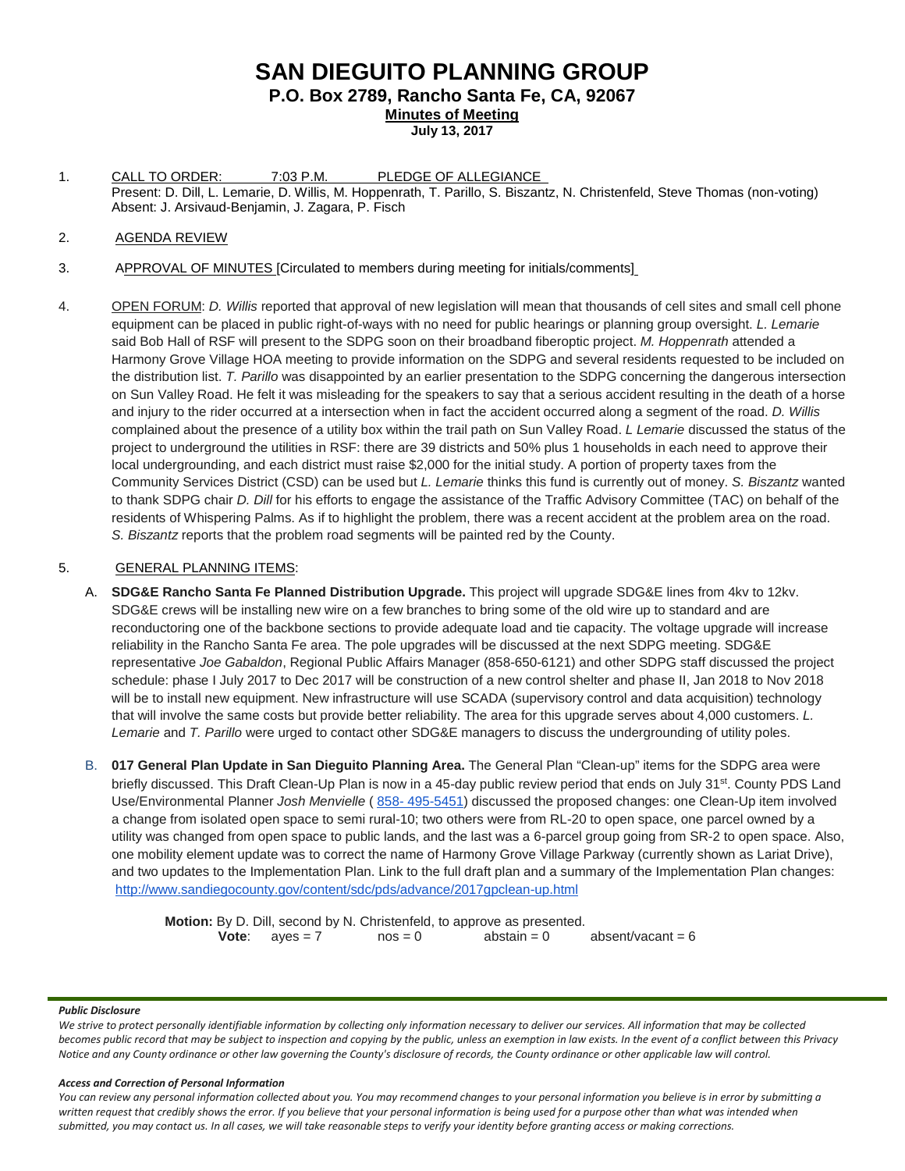# **SAN DIEGUITO PLANNING GROUP P.O. Box 2789, Rancho Santa Fe, CA, 92067**

**Minutes of Meeting**

- **July 13, 2017**
- 1. CALL TO ORDER: 7:03 P.M. PLEDGE OF ALLEGIANCE Present: D. Dill, L. Lemarie, D. Willis, M. Hoppenrath, T. Parillo, S. Biszantz, N. Christenfeld, Steve Thomas (non-voting) Absent: J. Arsivaud-Benjamin, J. Zagara, P. Fisch

### 2. AGENDA REVIEW

- 3. APPROVAL OF MINUTES [Circulated to members during meeting for initials/comments]
- 4. OPEN FORUM: *D. Willis* reported that approval of new legislation will mean that thousands of cell sites and small cell phone equipment can be placed in public right-of-ways with no need for public hearings or planning group oversight. *L. Lemarie* said Bob Hall of RSF will present to the SDPG soon on their broadband fiberoptic project. *M. Hoppenrath* attended a Harmony Grove Village HOA meeting to provide information on the SDPG and several residents requested to be included on the distribution list. *T. Parillo* was disappointed by an earlier presentation to the SDPG concerning the dangerous intersection on Sun Valley Road. He felt it was misleading for the speakers to say that a serious accident resulting in the death of a horse and injury to the rider occurred at a intersection when in fact the accident occurred along a segment of the road. *D. Willis* complained about the presence of a utility box within the trail path on Sun Valley Road. *L Lemarie* discussed the status of the project to underground the utilities in RSF: there are 39 districts and 50% plus 1 households in each need to approve their local undergrounding, and each district must raise \$2,000 for the initial study. A portion of property taxes from the Community Services District (CSD) can be used but *L. Lemarie* thinks this fund is currently out of money. *S. Biszantz* wanted to thank SDPG chair *D. Dill* for his efforts to engage the assistance of the Traffic Advisory Committee (TAC) on behalf of the residents of Whispering Palms. As if to highlight the problem, there was a recent accident at the problem area on the road. *S. Biszantz* reports that the problem road segments will be painted red by the County.

## 5. GENERAL PLANNING ITEMS:

- A. **SDG&E Rancho Santa Fe Planned Distribution Upgrade.** This project will upgrade SDG&E lines from 4kv to 12kv. SDG&E crews will be installing new wire on a few branches to bring some of the old wire up to standard and are reconductoring one of the backbone sections to provide adequate load and tie capacity. The voltage upgrade will increase reliability in the Rancho Santa Fe area. The pole upgrades will be discussed at the next SDPG meeting. SDG&E representative *Joe Gabaldon*, Regional Public Affairs Manager [\(858-650-6121\)](tel:(858)%20650-6121) and other SDPG staff discussed the project schedule: phase I July 2017 to Dec 2017 will be construction of a new control shelter and phase II, Jan 2018 to Nov 2018 will be to install new equipment. New infrastructure will use SCADA (supervisory control and data acquisition) technology that will involve the same costs but provide better reliability. The area for this upgrade serves about 4,000 customers. *L. Lemarie* and *T. Parillo* were urged to contact other SDG&E managers to discuss the undergrounding of utility poles.
- B. **017 General Plan Update in San Dieguito Planning Area.** The General Plan "Clean-up" items for the SDPG area were briefly discussed. This Draft Clean-Up Plan is now in a 45-day public review period that ends on July 31<sup>st</sup>. County PDS Land Use/Environmental Planner *Josh Menvielle* ( 858- [495-5451\)](tel:(858)%20495-5451) discussed the proposed changes: one Clean-Up item involved a change from isolated open space to semi rural-10; two others were from RL-20 to open space, one parcel owned by a utility was changed from open space to public lands, and the last was a 6-parcel group going from SR-2 to open space. Also, one mobility element update was to correct the name of Harmony Grove Village Parkway (currently shown as Lariat Drive), and two updates to the Implementation Plan. Link to the full draft plan and a summary of the Implementation Plan changes: <http://www.sandiegocounty.gov/content/sdc/pds/advance/2017gpclean-up.html>

**Motion:** By D. Dill, second by N. Christenfeld, to approve as presented.<br> **Vote:** aves = 7 nos = 0 abstain = 0 **Vote**:  $ayes = 7$  nos = 0  $abstain = 0$  absent/vacant = 6

#### *Public Disclosure*

*We strive to protect personally identifiable information by collecting only information necessary to deliver our services. All information that may be collected becomes public record that may be subject to inspection and copying by the public, unless an exemption in law exists. In the event of a conflict between this Privacy Notice and any County ordinance or other law governing the County's disclosure of records, the County ordinance or other applicable law will control.*

#### *Access and Correction of Personal Information*

*You can review any personal information collected about you. You may recommend changes to your personal information you believe is in error by submitting a*  written request that credibly shows the error. If you believe that your personal information is being used for a purpose other than what was intended when *submitted, you may contact us. In all cases, we will take reasonable steps to verify your identity before granting access or making corrections.*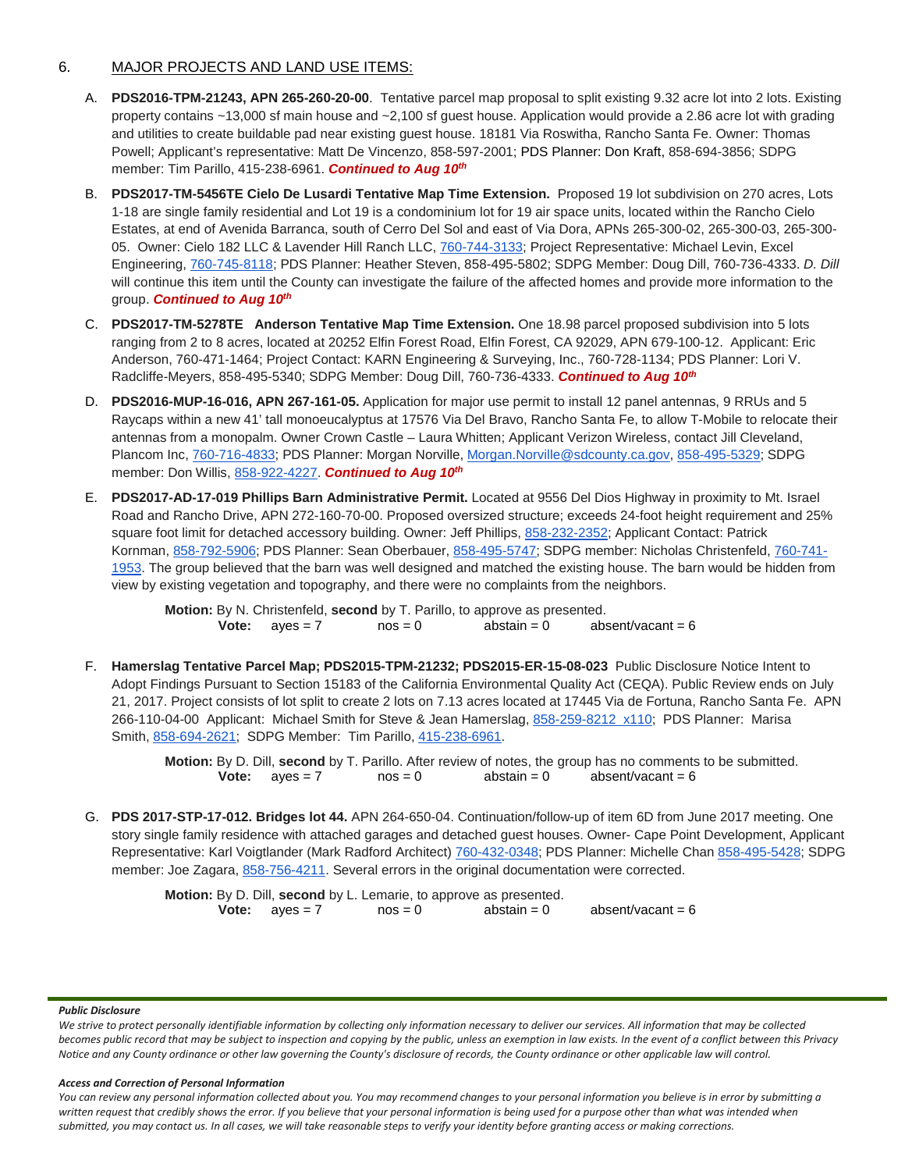## 6. MAJOR PROJECTS AND LAND USE ITEMS:

- A. **PDS2016-TPM-21243, APN 265-260-20-00**. Tentative parcel map proposal to split existing 9.32 acre lot into 2 lots. Existing property contains ~13,000 sf main house and ~2,100 sf guest house. Application would provide a 2.86 acre lot with grading and utilities to create buildable pad near existing guest house. 18181 Via Roswitha, Rancho Santa Fe. Owner: Thomas Powell; Applicant's representative: Matt De Vincenzo, 858-597-2001; PDS Planner: Don Kraft, 858-694-3856; SDPG member: Tim Parillo, [415-238-6961.](tel:415-238-6961) **Continued to Aug 10th**
- B. **PDS2017-TM-5456TE Cielo De Lusardi Tentative Map Time Extension.** Proposed 19 lot subdivision on 270 acres, Lots 1-18 are single family residential and Lot 19 is a condominium lot for 19 air space units, located within the Rancho Cielo Estates, at end of Avenida Barranca, south of Cerro Del Sol and east of Via Dora, APNs 265-300-02, 265-300-03, 265-300- 05. Owner: Cielo 182 LLC & Lavender Hill Ranch LLC, [760-744-3133;](tel:(760)%20744-3133) Project Representative: Michael Levin, Excel Engineering, [760-745-8118;](tel:(760)%20745-8118) PDS Planner: Heather Steven, [858-495-5802;](tel:(858)%20495-5802) SDPG Member: Doug Dill, [760-736-4333.](tel:(760)%20736-4333) *D. Dill* will continue this item until the County can investigate the failure of the affected homes and provide more information to the group. *Continued to Aug 10th*
- C. **PDS2017-TM-5278TE Anderson Tentative Map Time Extension.** One 18.98 parcel proposed subdivision into 5 lots ranging from 2 to 8 acres, located at 20252 Elfin Forest Road, Elfin Forest, CA 92029, APN 679-100-12. Applicant: Eric Anderson, 760-471-1464; Project Contact: KARN Engineering & Surveying, Inc., 760-728-1134; PDS Planner: Lori V. Radcliffe-Meyers, 858-495-5340; SDPG Member: Doug Dill, 760-736-4333. *Continued to Aug 10th*
- D. **PDS2016-MUP-16-016, APN 267-161-05.** Application for major use permit to install 12 panel antennas, 9 RRUs and 5 Raycaps within a new 41' tall monoeucalyptus at 17576 Via Del Bravo, Rancho Santa Fe, to allow T-Mobile to relocate their antennas from a monopalm. Owner Crown Castle – Laura Whitten; Applicant Verizon Wireless, contact Jill Cleveland, Plancom Inc, [760-716-4833;](tel:(760)%20716-4833) PDS Planner: Morgan Norville, [Morgan.Norville@sdcounty.ca.gov,](mailto:Morgan.Norville@sdcounty.ca.gov) [858-495-5329;](tel:(858)%20495-5329) SDPG member: Don Willis, [858-922-4227.](tel:(858)%20922-4227) *Continued to Aug 10th*
- E. **PDS2017-AD-17-019 Phillips Barn Administrative Permit.** Located at 9556 Del Dios Highway in proximity to Mt. Israel Road and Rancho Drive, APN 272-160-70-00. Proposed oversized structure; exceeds 24-foot height requirement and 25% square foot limit for detached accessory building. Owner: Jeff Phillips, [858-232-2352;](tel:(858)%20232-2352) Applicant Contact: Patrick Kornman, [858-792-5906;](tel:(858)%20792-5906) PDS Planner: Sean Oberbauer, [858-495-5747;](tel:(858)%20495-5747) SDPG member: Nicholas Christenfeld, [760-741-](tel:(760)%20741-1953) [1953.](tel:(760)%20741-1953) The group believed that the barn was well designed and matched the existing house. The barn would be hidden from view by existing vegetation and topography, and there were no complaints from the neighbors.

**Motion:** By N. Christenfeld, **second** by T. Parillo, to approve as presented.<br> **Vote:** aves = 7 nos = 0 abstain = 0 absent/vacant = 6 **Vote:**  $ayes = 7$   $nos = 0$   $abstain = 0$ 

F. **Hamerslag Tentative Parcel Map; PDS2015-TPM-21232; PDS2015-ER-15-08-023** Public Disclosure Notice Intent to Adopt Findings Pursuant to Section 15183 of the California Environmental Quality Act (CEQA). Public Review ends on July 21, 2017. Project consists of lot split to create 2 lots on 7.13 acres located at 17445 Via de Fortuna, Rancho Santa Fe. APN 266-110-04-00 Applicant: Michael Smith for Steve & Jean Hamerslag, [858-259-8212 x110;](tel:(858)%20259-8212) PDS Planner: Marisa Smith, [858-694-2621;](tel:(858)%20694-2621) SDPG Member: Tim Parillo, [415-238-6961.](tel:(415)%20238-6961)

> **Motion:** By D. Dill, **second** by T. Parillo. After review of notes, the group has no comments to be submitted. **Vote:**  $a$  ves = 7  $a$  nos = 0  $a$  abstain = 0  $a$  absent/vacant = 6

G. **PDS 2017-STP-17-012. Bridges lot 44.** APN 264-650-04. Continuation/follow-up of item 6D from June 2017 meeting. One story single family residence with attached garages and detached guest houses. Owner- Cape Point Development, Applicant Representative: Karl Voigtlander (Mark Radford Architect) [760-432-0348;](mailto:760-432-0348) PDS Planner: Michelle Chan [858-495-5428;](tel:%28858%29%20495-5428) SDPG member: Joe Zagara, [858-756-4211.](tel:(858)%20756-4211) Several errors in the original documentation were corrected.

> **Motion:** By D. Dill, **second** by L. Lemarie, to approve as presented.<br>**Vote:** aves = 7 nos = 0 abstain = 0  $ayes = 7$   $nos = 0$   $abstain = 0$   $absent/vacant = 6$

#### *Public Disclosure*

*We strive to protect personally identifiable information by collecting only information necessary to deliver our services. All information that may be collected becomes public record that may be subject to inspection and copying by the public, unless an exemption in law exists. In the event of a conflict between this Privacy Notice and any County ordinance or other law governing the County's disclosure of records, the County ordinance or other applicable law will control.*

#### *Access and Correction of Personal Information*

*You can review any personal information collected about you. You may recommend changes to your personal information you believe is in error by submitting a*  written request that credibly shows the error. If you believe that your personal information is being used for a purpose other than what was intended when *submitted, you may contact us. In all cases, we will take reasonable steps to verify your identity before granting access or making corrections.*